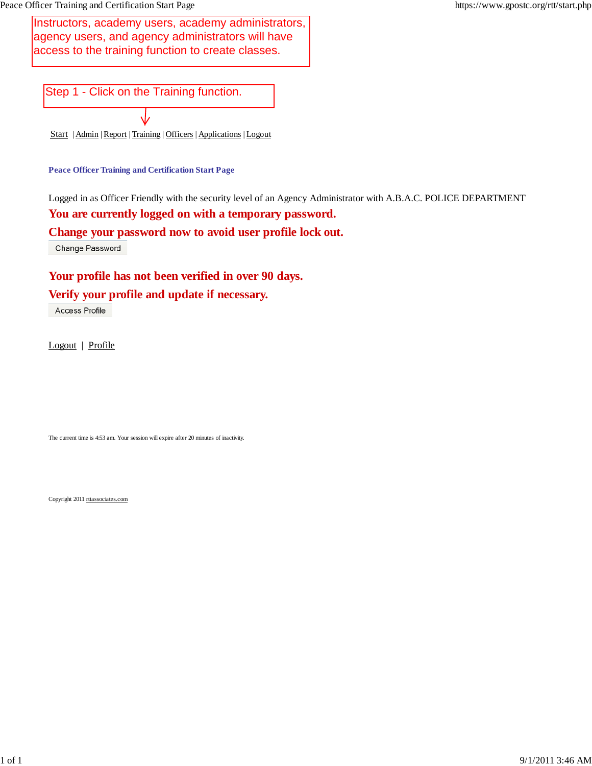Instructors, academy users, academy administrators, agency users, and agency administrators will have access to the training function to create classes.<br>
Step 1 - Click on the Training function.

Start | Admin | Report | Training | Officers | Applications | Logout

**Peace Officer Training and Certification Start Page**

Logged in as Officer Friendly with the security level of an Agency Administrator with A.B.A.C. POLICE DEPARTMENT **You are currently logged on with a temporary password.**

**Change your password now to avoid user profile lock out.**

Change Password

**Your profile has not been verified in over 90 days.**

# **Verify your profile and update if necessary.**

Access Profile

Logout | Profile

The current time is 4:53 am. Your session will expire after 20 minutes of inactivity.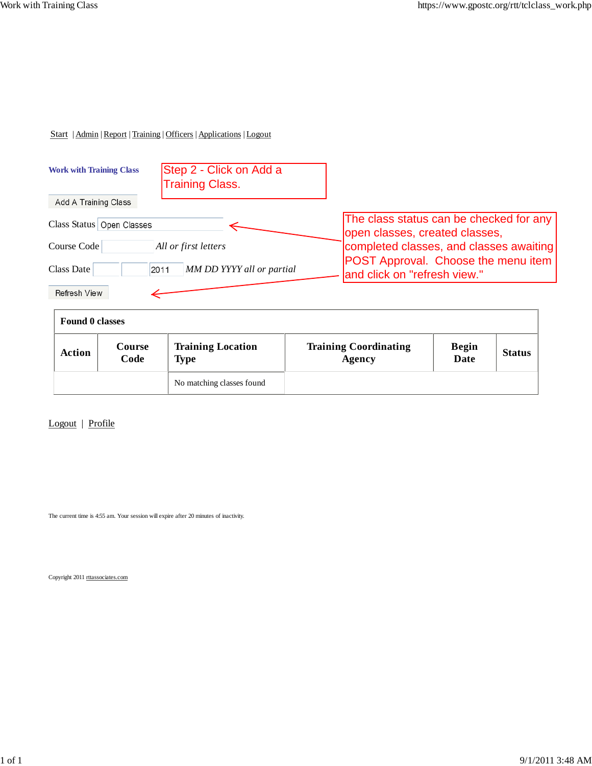| <b>Work with Training Class</b> | Step 2 - Click on Add a<br><b>Training Class.</b> |                                                                           |
|---------------------------------|---------------------------------------------------|---------------------------------------------------------------------------|
| Add A Training Class            |                                                   |                                                                           |
| Class Status Open Classes       |                                                   | The class status can be checked for any<br>open classes, created classes, |
| Course Code                     | All or first letters                              | completed classes, and classes awaiting                                   |
| Class Date                      | MM DD YYYY all or partial<br>2011                 | POST Approval. Choose the menu item<br>and click on "refresh view."       |
| <b>Refresh View</b>             |                                                   |                                                                           |

| <b>Found 0 classes</b> |                |                                         |                                        |                             |               |
|------------------------|----------------|-----------------------------------------|----------------------------------------|-----------------------------|---------------|
| <b>Action</b>          | Course<br>Code | <b>Training Location</b><br><b>Type</b> | <b>Training Coordinating</b><br>Agency | <b>Begin</b><br><b>Date</b> | <b>Status</b> |
|                        |                | No matching classes found               |                                        |                             |               |

Logout | Profile

The current time is 4:55 am. Your session will expire after 20 minutes of inactivity.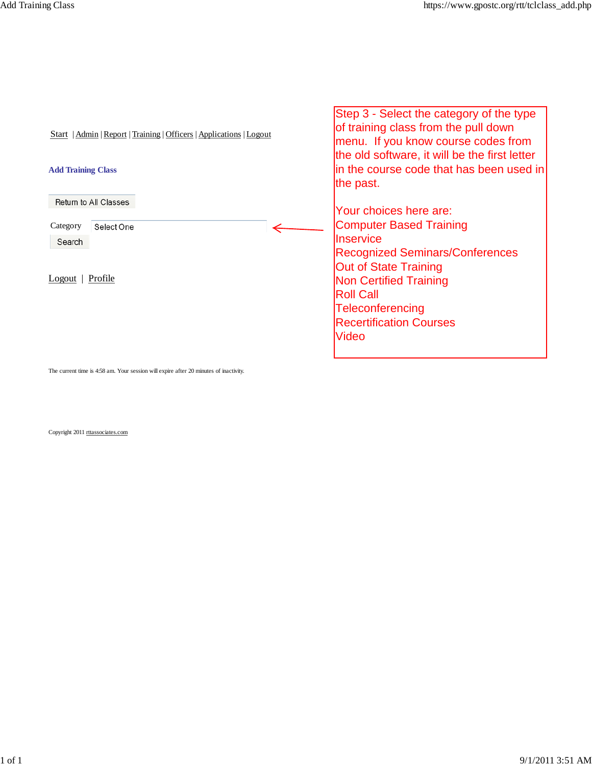| Start   Admin   Report   Training   Officers   Applications   Logout | Step 3 - Select the category of the type<br>of training class from the pull down<br>menu. If you know course codes from<br>the old software, it will be the first letter |
|----------------------------------------------------------------------|--------------------------------------------------------------------------------------------------------------------------------------------------------------------------|
| <b>Add Training Class</b>                                            | lin the course code that has been used in<br>the past.                                                                                                                   |
| Return to All Classes                                                |                                                                                                                                                                          |
|                                                                      | Your choices here are:                                                                                                                                                   |
| Category<br>Select One                                               | <b>Computer Based Training</b>                                                                                                                                           |
| Search                                                               | <b>Inservice</b>                                                                                                                                                         |
|                                                                      | <b>Recognized Seminars/Conferences</b>                                                                                                                                   |
|                                                                      | <b>Out of State Training</b>                                                                                                                                             |
| $Logout$   Profile                                                   | <b>Non Certified Training</b>                                                                                                                                            |
|                                                                      | <b>Roll Call</b>                                                                                                                                                         |
|                                                                      | Teleconferencing                                                                                                                                                         |
|                                                                      | <b>Recertification Courses</b>                                                                                                                                           |
|                                                                      |                                                                                                                                                                          |
|                                                                      | Video                                                                                                                                                                    |
|                                                                      |                                                                                                                                                                          |
|                                                                      |                                                                                                                                                                          |

The current time is 4:58 am. Your session will expire after 20 minutes of inactivity.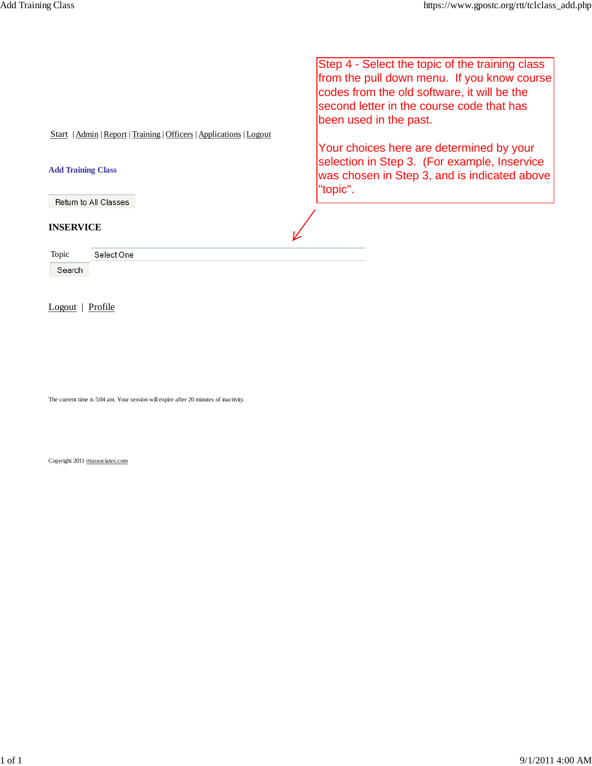|                                                                       | Step 4 - Select the topic of the training class<br>from the pull down menu. If you know course<br>codes from the old software, it will be the<br>second letter in the course code that has<br>been used in the past. |
|-----------------------------------------------------------------------|----------------------------------------------------------------------------------------------------------------------------------------------------------------------------------------------------------------------|
| Admin   Report   Training   Officers   Applications   Logout<br>Start |                                                                                                                                                                                                                      |
|                                                                       | Your choices here are determined by your                                                                                                                                                                             |
| <b>Add Training Class</b>                                             | selection in Step 3. (For example, Inservice<br>was chosen in Step 3, and is indicated above<br>"topic".                                                                                                             |
| Return to All Classes                                                 |                                                                                                                                                                                                                      |
| <b>INSERVICE</b>                                                      |                                                                                                                                                                                                                      |
| Topic<br>Select One                                                   |                                                                                                                                                                                                                      |
| Search                                                                |                                                                                                                                                                                                                      |

Logout | Profile

The current time is 5:04 am. Your session will expire after 20 minutes of inactivity.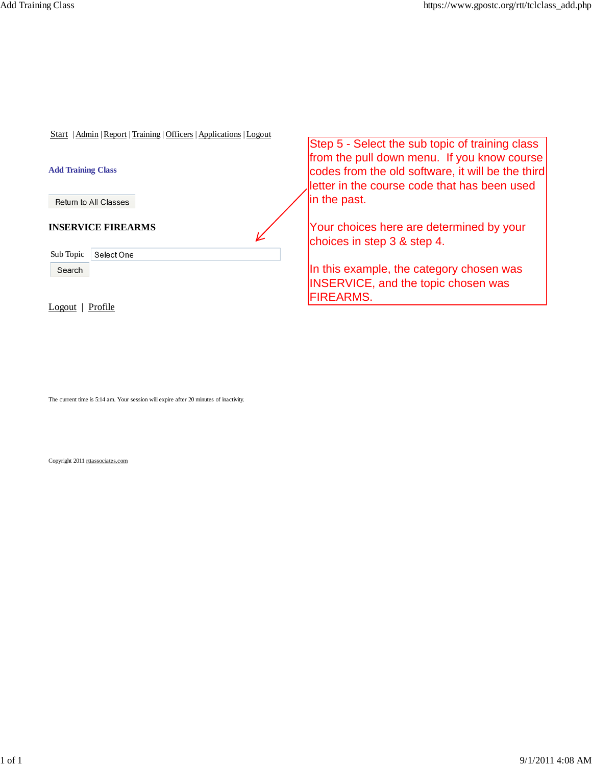| Start   Admin   Report   Training   Officers   Applications   Logout | Step 5 - Select the sub topic of training class                                                                                                  |
|----------------------------------------------------------------------|--------------------------------------------------------------------------------------------------------------------------------------------------|
| <b>Add Training Class</b>                                            | from the pull down menu. If you know course<br>codes from the old software, it will be the third<br>letter in the course code that has been used |
| Return to All Classes                                                | in the past.                                                                                                                                     |
| <b>INSERVICE FIREARMS</b>                                            | Your choices here are determined by your<br>choices in step 3 & step 4.                                                                          |
| Sub Topic<br>Select One                                              |                                                                                                                                                  |
| Search                                                               | In this example, the category chosen was<br><b>INSERVICE, and the topic chosen was</b><br><b>FIREARMS.</b>                                       |
| Profile<br>LO2011                                                    |                                                                                                                                                  |

The current time is 5:14 am. Your session will expire after 20 minutes of inactivity.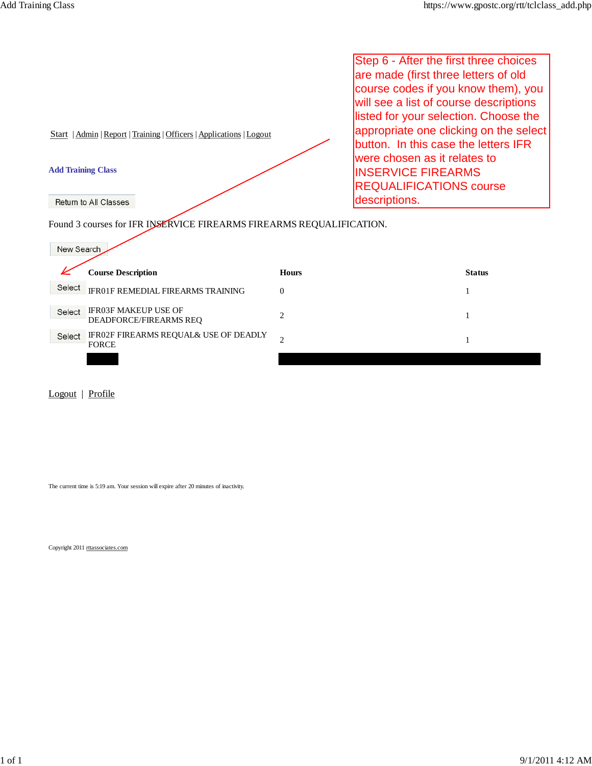Step 6 - After the first three choices are made (first three letters of old course codes if you know them), you will see a list of course descriptions listed for your selection. Choose the appropriate one clicking on the select Start | Admin | Report | Training | Officers | Applications | Logout button. In this case the letters IFR were chosen as it relates to **Add Training Class** INSERVICE FIREARMS REQUALIFICATIONS course descriptions. Return to All Classes Found 3 courses for IFR INSERVICE FIREARMS FIREARMS REQUALIFICATION. New Search

|        | <b>Course Description</b>                                    | <b>Hours</b> | <b>Status</b> |
|--------|--------------------------------------------------------------|--------------|---------------|
| Select | <b>IFR01F REMEDIAL FIREARMS TRAINING</b>                     | 0            |               |
| Select | <b>IFR03F MAKEUP USE OF</b><br><b>DEADFORCE/FIREARMS REO</b> |              |               |
| Select | IFR02F FIREARMS REQUAL& USE OF DEADLY<br><b>FORCE</b>        |              |               |
|        |                                                              |              |               |

Logout | Profile

The current time is 5:19 am. Your session will expire after 20 minutes of inactivity.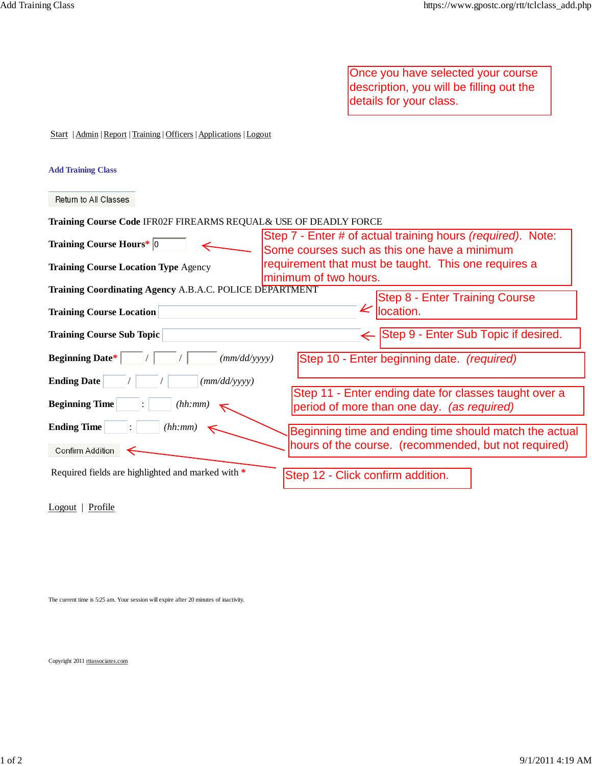Once you have selected your course description, you will be filling out the details for your class.

Start | Admin | Report | Training | Officers | Applications | Logout

### **Add Training Class**

Return to All Classes

| Training Course Code IFR02F FIREARMS REQUAL& USE OF DEADLY FORCE |  |  |  |
|------------------------------------------------------------------|--|--|--|
|                                                                  |  |  |  |

| Training Course Hours* 0                                                     | Step 7 - Enter # of actual training hours (required). Note:<br>Some courses such as this one have a minimum |
|------------------------------------------------------------------------------|-------------------------------------------------------------------------------------------------------------|
| <b>Training Course Location Type Agency</b>                                  | requirement that must be taught. This one requires a<br>minimum of two hours.                               |
| Training Coordinating Agency A.B.A.C. POLICE DEPARTMENT                      | <b>Step 8 - Enter Training Course</b>                                                                       |
| <b>Training Course Location</b>                                              | K<br>location.                                                                                              |
| <b>Training Course Sub Topic</b>                                             | ← Step 9 - Enter Sub Topic if desired.                                                                      |
| <b>Beginning Date*</b><br>(mm/dd/vyyy)                                       | Step 10 - Enter beginning date. (required)                                                                  |
| <b>Ending Date</b><br>$\langle \frac{\textit{mm}}{\textit{dd}} \rangle$ yyyy |                                                                                                             |
| <b>Beginning Time</b><br>(hh:mm)<br> ∶_                                      | Step 11 - Enter ending date for classes taught over a<br>period of more than one day. (as required)         |
| <b>Ending Time</b><br>(hh:mm)<br>$\ddot{\phantom{0}}$                        | Beginning time and ending time should match the actual                                                      |
| Confirm Addition                                                             | hours of the course. (recommended, but not required)                                                        |
| Required fields are highlighted and marked with *                            | Step 12 - Click confirm addition.                                                                           |

Logout | Profile

The current time is 5:25 am. Your session will expire after 20 minutes of inactivity.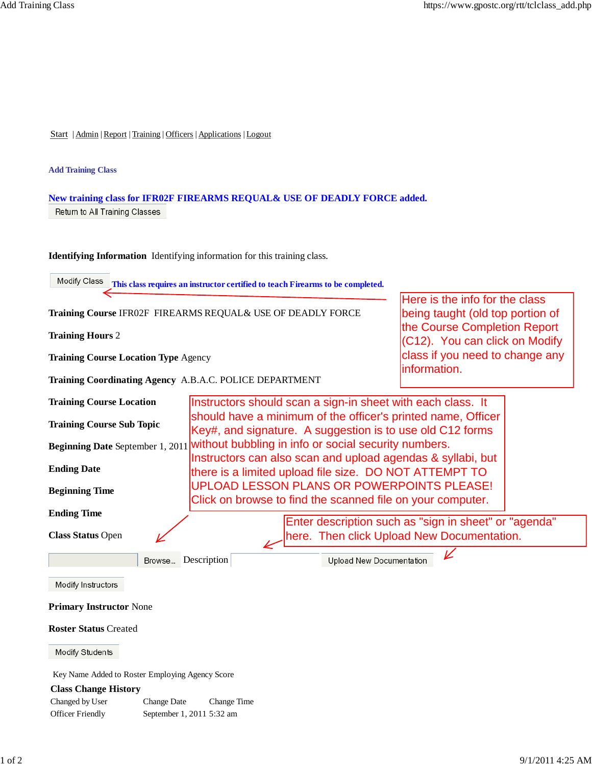#### **Add Training Class**

# **New training class for IFR02F FIREARMS REQUAL& USE OF DEADLY FORCE added.** Return to All Training Classes

**Identifying Information** Identifying information for this training class.

**This class requires an instructor certified to teach Firearms to be completed.**

**Training Hours** 2

**Training Course Location Type** Agency

**Training Coordinating Agency** A.B.A.C. POLICE DEPARTMENT

Here is the info for the class being taught (old top portion of the Course Completion Report (C12). You can click on Modify class if you need to change any information.

| <b>Training Course Location</b>  | Instructors should scan a sign-in sheet with each class. It                                                               |
|----------------------------------|---------------------------------------------------------------------------------------------------------------------------|
| <b>Training Course Sub Topic</b> | should have a minimum of the officer's printed name, Officer<br>Key#, and signature. A suggestion is to use old C12 forms |
|                                  | Beginning Date September 1, 2011 without bubbling in info or social security numbers.                                     |
| <b>Ending Date</b>               | Instructors can also scan and upload agendas & syllabi, but<br>there is a limited upload file size. DO NOT ATTEMPT TO     |
| <b>Beginning Time</b>            | UPLOAD LESSON PLANS OR POWERPOINTS PLEASE!<br>Click on browse to find the scanned file on your computer.                  |
| <b>Ending Time</b>               | Enter description such as "sign in sheet" or "agenda"                                                                     |
| <b>Class Status Open</b>         | here. Then click Upload New Documentation.                                                                                |
| Browse                           | Description<br><b>Upload New Documentation</b>                                                                            |
| Modify Instructors               |                                                                                                                           |

#### **Primary Instructor** None

### **Roster Status** Created

Modify Students

Key Name Added to Roster Employing Agency Score

### **Class Change History**

Changed by User Change Date Change Time Officer Friendly September 1, 2011 5:32 am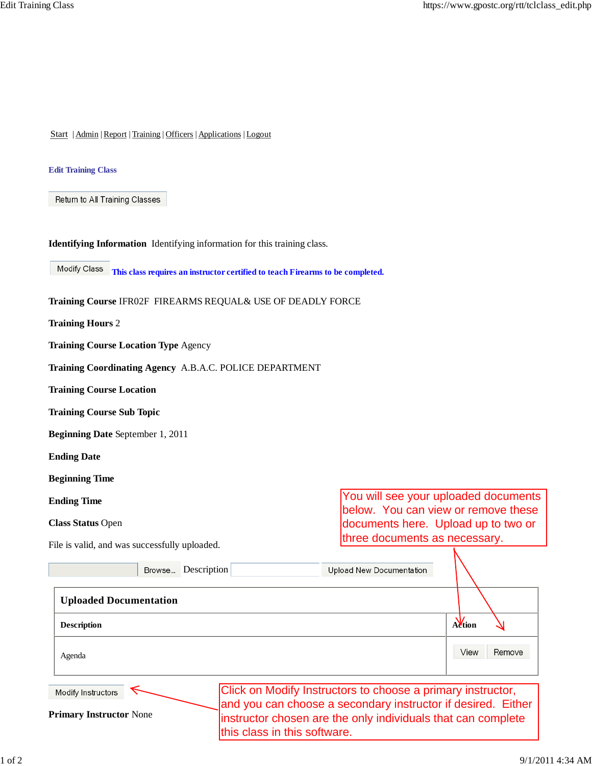### **Edit Training Class**

Return to All Training Classes

**Identifying Information** Identifying information for this training class.

**This class requires an instructor certified to teach Firearms to be completed.**

|  |  | Training Course IFR02F FIREARMS REQUAL& USE OF DEADLY FORCE |
|--|--|-------------------------------------------------------------|
|--|--|-------------------------------------------------------------|

**Training Hours** 2

**Training Course Location Type** Agency

**Training Coordinating Agency** A.B.A.C. POLICE DEPARTMENT

**Training Course Location**

**Training Course Sub Topic**

**Beginning Date** September 1, 2011

**Ending Date**

**Beginning Time**

**Ending Time**

**Class Status** Open

File is valid, and was successfully uploaded.

You will see your uploaded documents below. You can view or remove these documents here. Upload up to two or three documents as necessary.

| I no is vana, and was saccessiumy apioaded.<br>Browse Description |                              | <b>Upload New Documentation</b>                                                                                                                                                             |                |
|-------------------------------------------------------------------|------------------------------|---------------------------------------------------------------------------------------------------------------------------------------------------------------------------------------------|----------------|
| <b>Uploaded Documentation</b>                                     |                              |                                                                                                                                                                                             |                |
| <b>Description</b>                                                |                              |                                                                                                                                                                                             | Action         |
| Agenda                                                            |                              |                                                                                                                                                                                             | Remove<br>View |
| Modify Instructors<br><b>Primary Instructor None</b>              | this class in this software. | Click on Modify Instructors to choose a primary instructor,<br>and you can choose a secondary instructor if desired. Either<br>instructor chosen are the only individuals that can complete |                |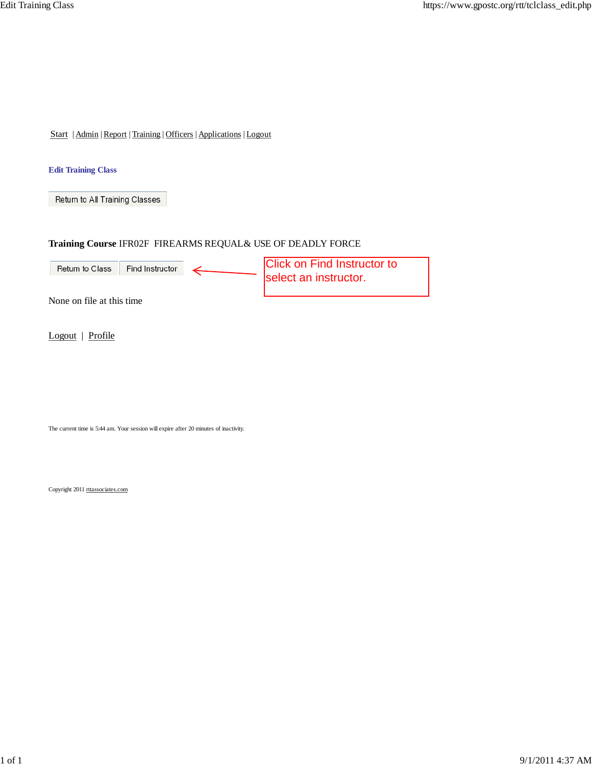### **Edit Training Class**

Return to All Training Classes

### **Training Course** IFR02F FIREARMS REQUAL& USE OF DEADLY FORCE



Logout | Profile

The current time is 5:44 am. Your session will expire after 20 minutes of inactivity.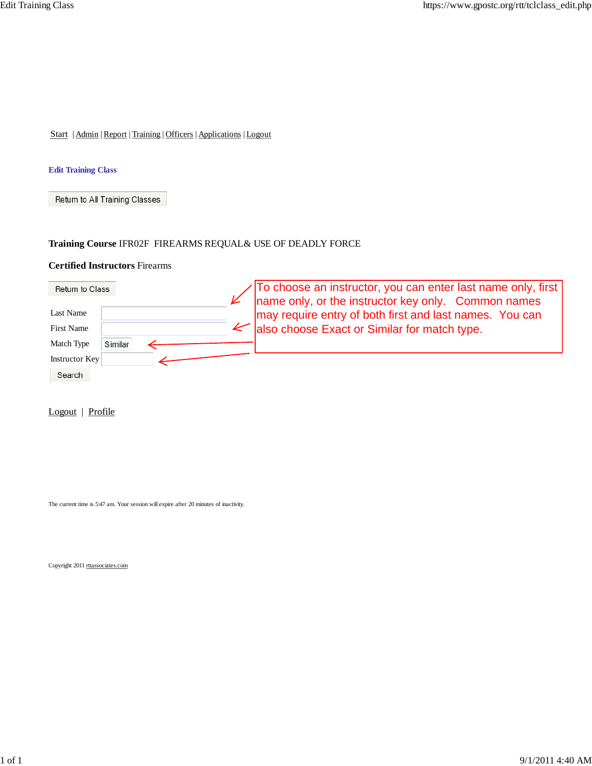### **Edit Training Class**

Return to All Training Classes

# **Training Course** IFR02F FIREARMS REQUAL& USE OF DEADLY FORCE

## **Certified Instructors** Firearms

| Return to Class   |         | To choose an instructor, you can enter last name only, first                                                   |
|-------------------|---------|----------------------------------------------------------------------------------------------------------------|
| Last Name         |         | name only, or the instructor key only. Common names<br>may require entry of both first and last names. You can |
| <b>First Name</b> |         | $\leq$ also choose Exact or Similar for match type.                                                            |
| Match Type        | Similar |                                                                                                                |
| Instructor Key    |         |                                                                                                                |
| Search            |         |                                                                                                                |

Logout | Profile

The current time is 5:47 am. Your session will expire after 20 minutes of inactivity.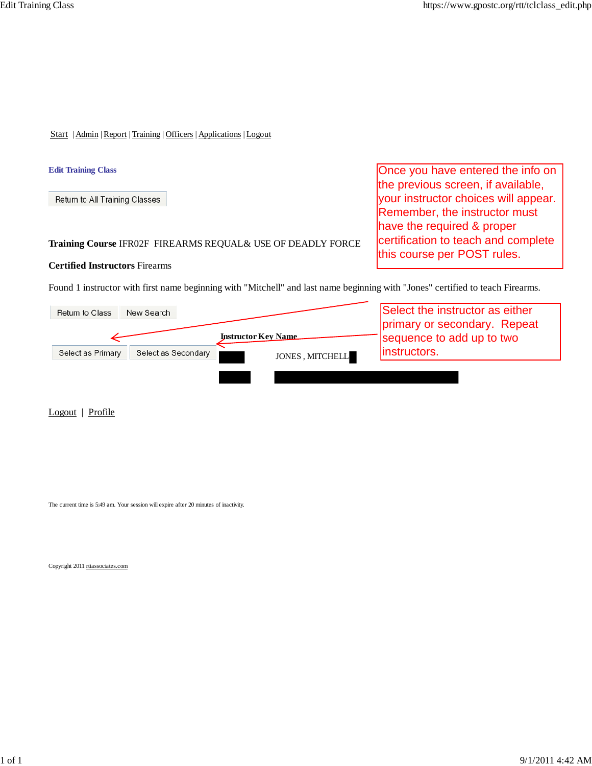Once you have entered the info on the previous screen, if available, your instructor choices will appear. Remember, the instructor must have the required & proper

certification to teach and complete

this course per POST rules.

Start | Admin | Report | Training | Officers | Applications | Logout

### **Edit Training Class**

Return to All Training Classes

**Training Course** IFR02F FIREARMS REQUAL& USE OF DEADLY FORCE

### **Certified Instructors** Firearms

Found 1 instructor with first name beginning with "Mitchell" and last name beginning with "Jones" certified to teach Firearms.



Logout | Profile

The current time is 5:49 am. Your session will expire after 20 minutes of inactivity.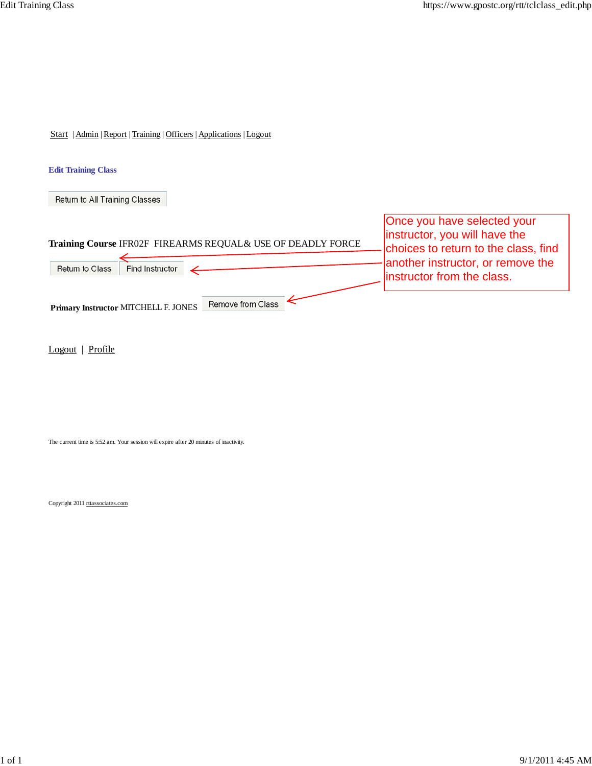### **Edit Training Class**

Return to All Training Classes

| Training Course IFR02F FIREARMS REQUAL& USE OF DEADLY FORCE<br>Find Instructor<br>Return to Class | Once you have selected your<br>instructor, you will have the<br>choices to return to the class, find<br>another instructor, or remove the<br>linstructor from the class. |
|---------------------------------------------------------------------------------------------------|--------------------------------------------------------------------------------------------------------------------------------------------------------------------------|
| Remove from Class<br>Primary Instructor MITCHELL F. JONES                                         |                                                                                                                                                                          |

Logout | Profile

The current time is 5:52 am. Your session will expire after 20 minutes of inactivity.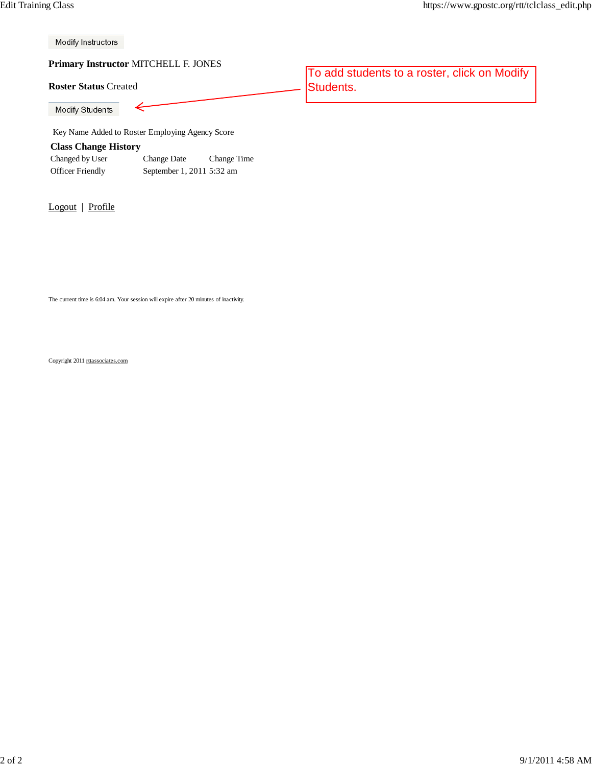Modify Instructors

**Primary Instructor** MITCHELL F. JONES

### **Roster Status** Created

Modify Students

Key Name Added to Roster Employing Agency Score

### **Class Change History**

| Changed by User         | Change Date               | Change Time |
|-------------------------|---------------------------|-------------|
| <b>Officer Friendly</b> | September 1, 2011 5:32 am |             |

Logout | Profile

To add students to a roster, click on Modify Students.

The current time is 6:04 am. Your session will expire after 20 minutes of inactivity.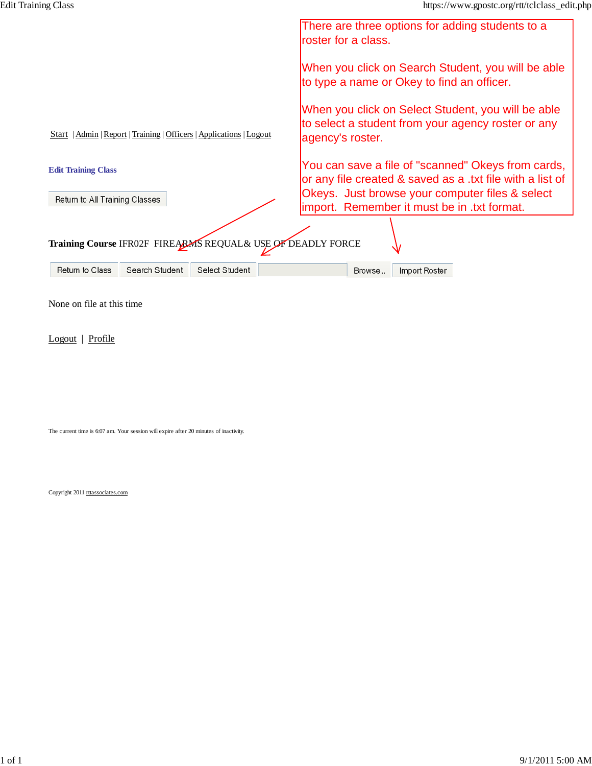|                                                                                                                    | There are three options for adding students to a<br>roster for a class.                                                                                                                                            |
|--------------------------------------------------------------------------------------------------------------------|--------------------------------------------------------------------------------------------------------------------------------------------------------------------------------------------------------------------|
|                                                                                                                    | When you click on Search Student, you will be able<br>to type a name or Okey to find an officer.                                                                                                                   |
| Start   Admin   Report   Training   Officers   Applications   Logout                                               | When you click on Select Student, you will be able<br>to select a student from your agency roster or any<br>agency's roster.                                                                                       |
| <b>Edit Training Class</b><br>Return to All Training Classes                                                       | You can save a file of "scanned" Okeys from cards,<br>or any file created & saved as a .txt file with a list of<br>Okeys. Just browse your computer files & select<br>limport. Remember it must be in .txt format. |
| Training Course IFR02F FIREARMS REQUAL& USE OF DEADLY FORCE<br>Return to Class<br>Search Student<br>Select Student | Import Roster<br>Browse                                                                                                                                                                                            |
|                                                                                                                    |                                                                                                                                                                                                                    |

None on file at this time

Logout | Profile

The current time is 6:07 am. Your session will expire after 20 minutes of inactivity.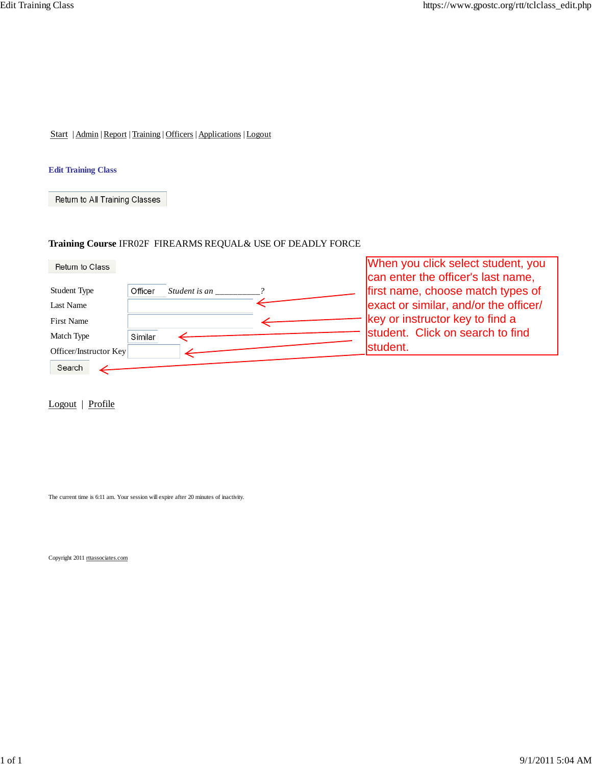### **Edit Training Class**

Return to All Training Classes

# **Training Course** IFR02F FIREARMS REQUAL& USE OF DEADLY FORCE

| Return to Class        |                          | When you click select student, you    |
|------------------------|--------------------------|---------------------------------------|
|                        |                          | can enter the officer's last name,    |
| Student Type           | Officer<br>Student is an | first name, choose match types of     |
| Last Name              |                          | exact or similar, and/or the officer/ |
| <b>First Name</b>      |                          | key or instructor key to find a       |
| Match Type             | Similar                  | student. Click on search to find      |
| Officer/Instructor Key |                          | student.                              |
| Search                 |                          |                                       |

Logout | Profile

The current time is 6:11 am. Your session will expire after 20 minutes of inactivity.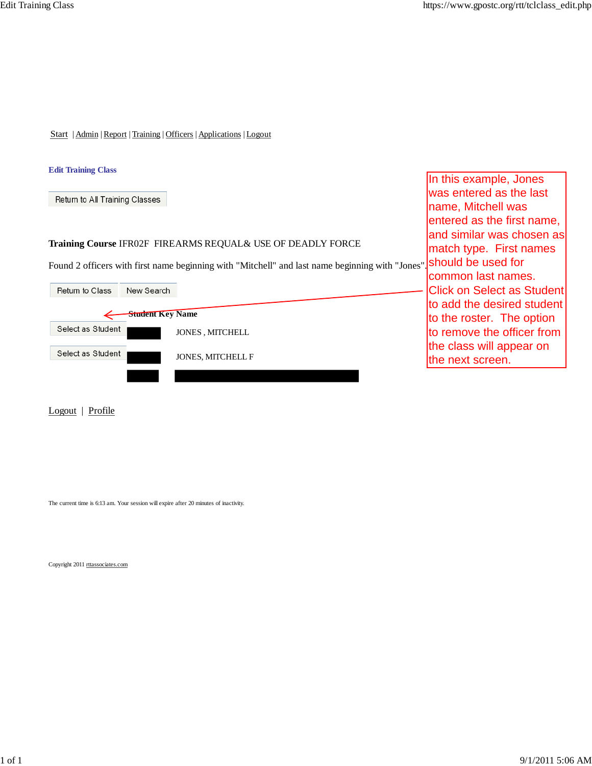In this example, Jones was entered as the last name, Mitchell was

entered as the first name, and similar was chosen as match type. First names

Start | Admin | Report | Training | Officers | Applications | Logout

### **Edit Training Class**

Return to All Training Classes

### **Training Course** IFR02F FIREARMS REQUAL& USE OF DEADLY FORCE

Found 2 officers with first name beginning with "Mitchell" and last name beginning with "Jones". Should be used for

|                   |                         |                          | common last names.                |
|-------------------|-------------------------|--------------------------|-----------------------------------|
| Return to Class   | New Search              |                          | <b>Click on Select as Student</b> |
|                   |                         |                          | to add the desired student        |
|                   | <b>Student Key Name</b> |                          | to the roster. The option         |
| Select as Student |                         | <b>JONES, MITCHELL</b>   | to remove the officer from        |
| Select as Student |                         | <b>JONES, MITCHELL F</b> | the class will appear on          |
|                   |                         |                          | the next screen.                  |
|                   |                         |                          |                                   |

Logout | Profile

The current time is 6:13 am. Your session will expire after 20 minutes of inactivity.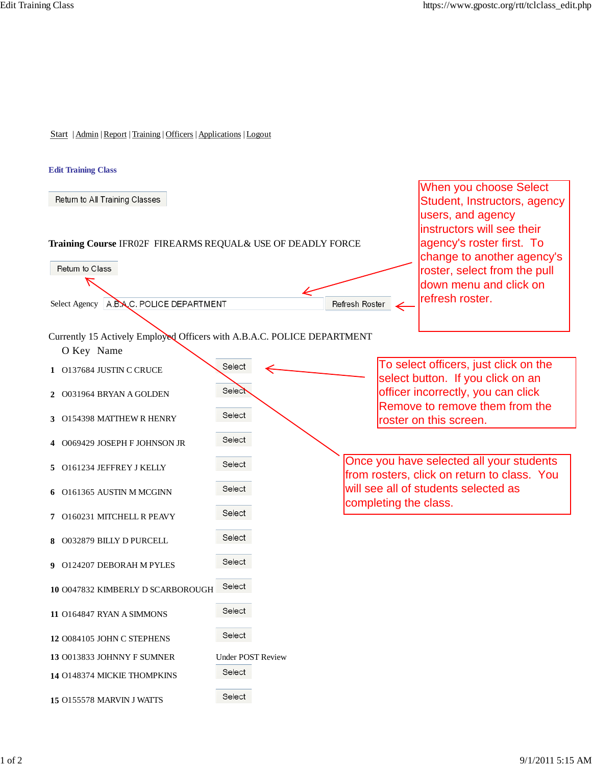#### **Edit Training Class**

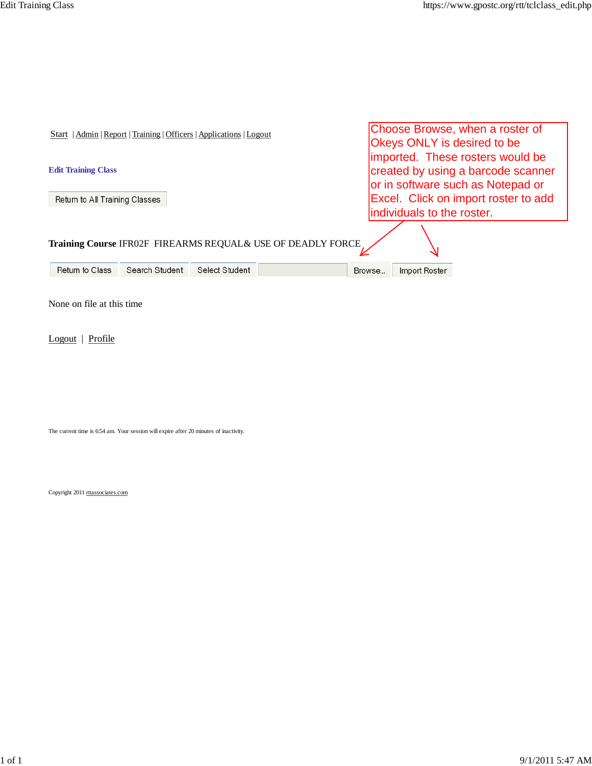| Start   Admin   Report   Training   Officers   Applications   Logout | Choose Browse, when a roster of<br><b>Okeys ONLY is desired to be</b>                                       |  |  |  |
|----------------------------------------------------------------------|-------------------------------------------------------------------------------------------------------------|--|--|--|
| <b>Edit Training Class</b>                                           | imported. These rosters would be<br>created by using a barcode scanner<br>or in software such as Notepad or |  |  |  |
| Return to All Training Classes                                       | Excel. Click on import roster to add                                                                        |  |  |  |
|                                                                      | individuals to the roster.                                                                                  |  |  |  |
| Training Course IFR02F FIREARMS REQUAL& USE OF DEADLY FORCE          |                                                                                                             |  |  |  |
| Return to Class<br>Search Student<br>Select Student                  | Import Roster<br>Browse                                                                                     |  |  |  |
|                                                                      |                                                                                                             |  |  |  |

None on file at this time

Logout | Profile

The current time is 6:54 am. Your session will expire after 20 minutes of inactivity.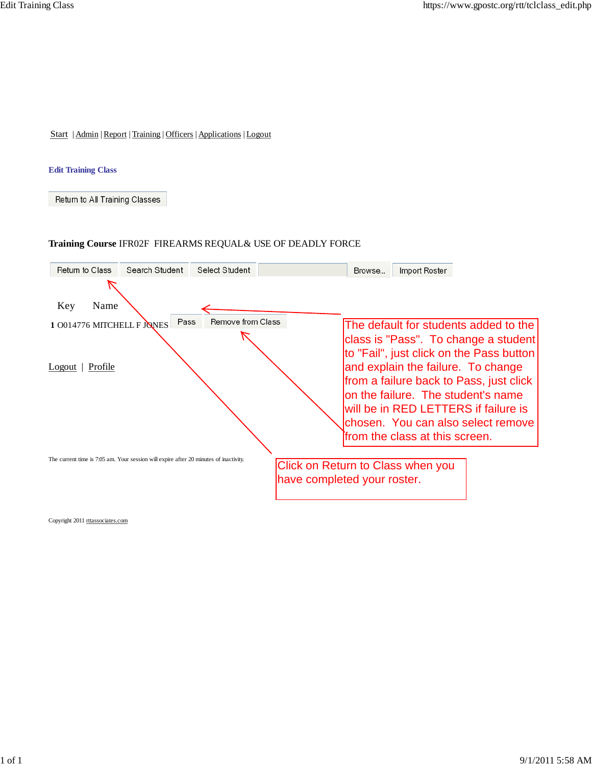#### **Edit Training Class**

Return to All Training Classes

## **Training Course** IFR02F FIREARMS REQUAL& USE OF DEADLY FORCE